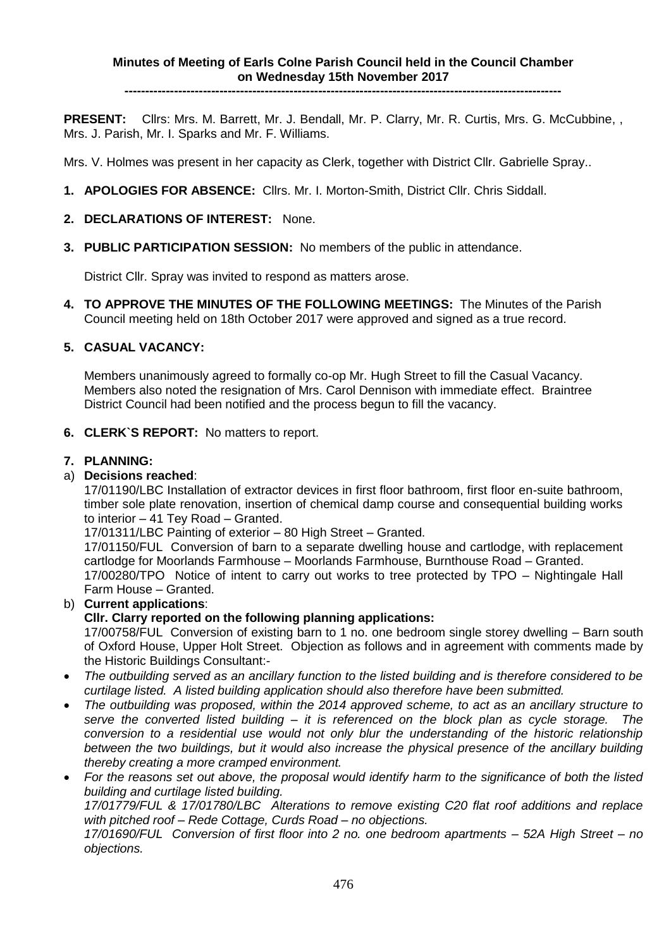**----------------------------------------------------------------------------------------------------------**

**PRESENT:** Cllrs: Mrs. M. Barrett, Mr. J. Bendall, Mr. P. Clarry, Mr. R. Curtis, Mrs. G. McCubbine, , Mrs. J. Parish, Mr. I. Sparks and Mr. F. Williams.

Mrs. V. Holmes was present in her capacity as Clerk, together with District Cllr. Gabrielle Spray..

- **1. APOLOGIES FOR ABSENCE:** Cllrs. Mr. I. Morton-Smith, District Cllr. Chris Siddall.
- **2. DECLARATIONS OF INTEREST:** None.
- **3. PUBLIC PARTICIPATION SESSION:** No members of the public in attendance.

District Cllr. Spray was invited to respond as matters arose.

**4. TO APPROVE THE MINUTES OF THE FOLLOWING MEETINGS:** The Minutes of the Parish Council meeting held on 18th October 2017 were approved and signed as a true record.

### **5. CASUAL VACANCY:**

Members unanimously agreed to formally co-op Mr. Hugh Street to fill the Casual Vacancy. Members also noted the resignation of Mrs. Carol Dennison with immediate effect. Braintree District Council had been notified and the process begun to fill the vacancy.

**6. CLERK`S REPORT:** No matters to report.

### **7. PLANNING:**

### a) **Decisions reached**:

17/01190/LBC Installation of extractor devices in first floor bathroom, first floor en-suite bathroom, timber sole plate renovation, insertion of chemical damp course and consequential building works to interior – 41 Tey Road – Granted.

17/01311/LBC Painting of exterior – 80 High Street – Granted.

17/01150/FUL Conversion of barn to a separate dwelling house and cartlodge, with replacement cartlodge for Moorlands Farmhouse – Moorlands Farmhouse, Burnthouse Road – Granted. 17/00280/TPO Notice of intent to carry out works to tree protected by TPO – Nightingale Hall Farm House – Granted.

### b) **Current applications**:

### **Cllr. Clarry reported on the following planning applications:**

17/00758/FUL Conversion of existing barn to 1 no. one bedroom single storey dwelling – Barn south of Oxford House, Upper Holt Street. Objection as follows and in agreement with comments made by the Historic Buildings Consultant:-

- *The outbuilding served as an ancillary function to the listed building and is therefore considered to be curtilage listed. A listed building application should also therefore have been submitted.*
- *The outbuilding was proposed, within the 2014 approved scheme, to act as an ancillary structure to serve the converted listed building – it is referenced on the block plan as cycle storage. The conversion to a residential use would not only blur the understanding of the historic relationship between the two buildings, but it would also increase the physical presence of the ancillary building thereby creating a more cramped environment.*
- *For the reasons set out above, the proposal would identify harm to the significance of both the listed building and curtilage listed building.*

*17/01779/FUL & 17/01780/LBC Alterations to remove existing C20 flat roof additions and replace with pitched roof – Rede Cottage, Curds Road – no objections.*

*17/01690/FUL Conversion of first floor into 2 no. one bedroom apartments – 52A High Street – no objections.*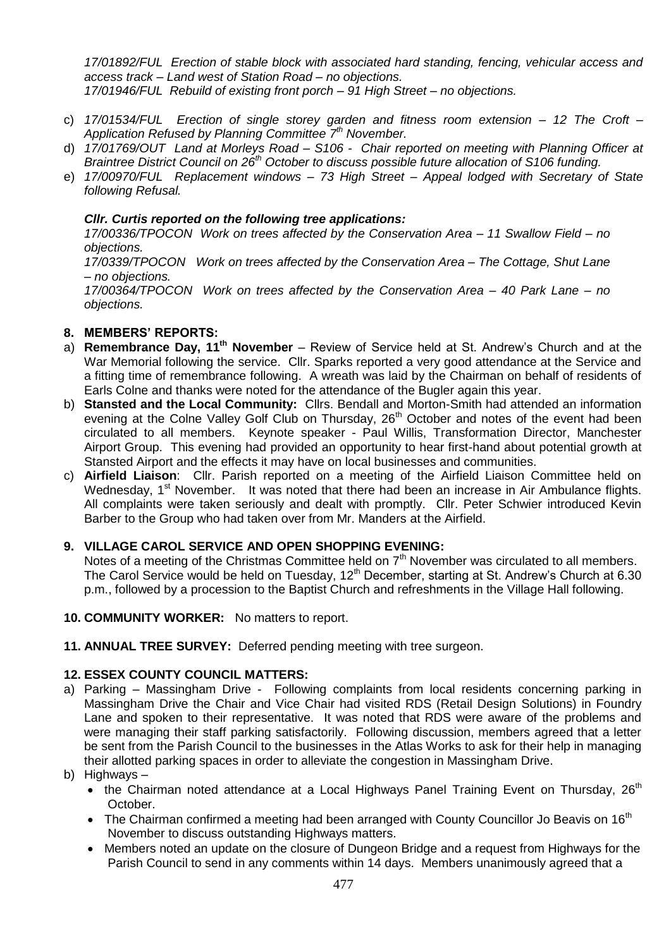*17/01892/FUL Erection of stable block with associated hard standing, fencing, vehicular access and access track – Land west of Station Road – no objections.*

- *17/01946/FUL Rebuild of existing front porch – 91 High Street – no objections.*
- c) *17/01534/FUL Erection of single storey garden and fitness room extension – 12 The Croft – Application Refused by Planning Committee 7th November.*
- d) *17/01769/OUT Land at Morleys Road – S106 Chair reported on meeting with Planning Officer at Braintree District Council on 26th October to discuss possible future allocation of S106 funding.*
- e) *17/00970/FUL Replacement windows – 73 High Street – Appeal lodged with Secretary of State following Refusal.*

### *Cllr. Curtis reported on the following tree applications:*

*17/00336/TPOCON Work on trees affected by the Conservation Area – 11 Swallow Field – no objections.*

*17/0339/TPOCON Work on trees affected by the Conservation Area – The Cottage, Shut Lane – no objections.*

*17/00364/TPOCON Work on trees affected by the Conservation Area – 40 Park Lane – no objections.*

### **8. MEMBERS' REPORTS:**

- a) **Remembrance Day, 11th November** Review of Service held at St. Andrew's Church and at the War Memorial following the service. Cllr. Sparks reported a very good attendance at the Service and a fitting time of remembrance following. A wreath was laid by the Chairman on behalf of residents of Earls Colne and thanks were noted for the attendance of the Bugler again this year.
- b) **Stansted and the Local Community:** Cllrs. Bendall and Morton-Smith had attended an information evening at the Colne Valley Golf Club on Thursday, 26<sup>th</sup> October and notes of the event had been circulated to all members. Keynote speaker - Paul Willis, Transformation Director, Manchester Airport Group. This evening had provided an opportunity to hear first-hand about potential growth at Stansted Airport and the effects it may have on local businesses and communities.
- c) **Airfield Liaison**: Cllr. Parish reported on a meeting of the Airfield Liaison Committee held on Wednesday, 1<sup>st</sup> November. It was noted that there had been an increase in Air Ambulance flights. All complaints were taken seriously and dealt with promptly. Cllr. Peter Schwier introduced Kevin Barber to the Group who had taken over from Mr. Manders at the Airfield.

# **9. VILLAGE CAROL SERVICE AND OPEN SHOPPING EVENING:**

Notes of a meeting of the Christmas Committee held on  $7<sup>th</sup>$  November was circulated to all members. The Carol Service would be held on Tuesday, 12<sup>th</sup> December, starting at St. Andrew's Church at 6.30 p.m., followed by a procession to the Baptist Church and refreshments in the Village Hall following.

- **10. COMMUNITY WORKER:** No matters to report.
- **11. ANNUAL TREE SURVEY:** Deferred pending meeting with tree surgeon.

### **12. ESSEX COUNTY COUNCIL MATTERS:**

- a) Parking Massingham Drive Following complaints from local residents concerning parking in Massingham Drive the Chair and Vice Chair had visited RDS (Retail Design Solutions) in Foundry Lane and spoken to their representative. It was noted that RDS were aware of the problems and were managing their staff parking satisfactorily. Following discussion, members agreed that a letter be sent from the Parish Council to the businesses in the Atlas Works to ask for their help in managing their allotted parking spaces in order to alleviate the congestion in Massingham Drive.
- b) Highways
	- the Chairman noted attendance at a Local Highways Panel Training Event on Thursday,  $26<sup>th</sup>$ October.
	- The Chairman confirmed a meeting had been arranged with County Councillor Jo Beavis on  $16<sup>th</sup>$ November to discuss outstanding Highways matters.
	- Members noted an update on the closure of Dungeon Bridge and a request from Highways for the Parish Council to send in any comments within 14 days. Members unanimously agreed that a